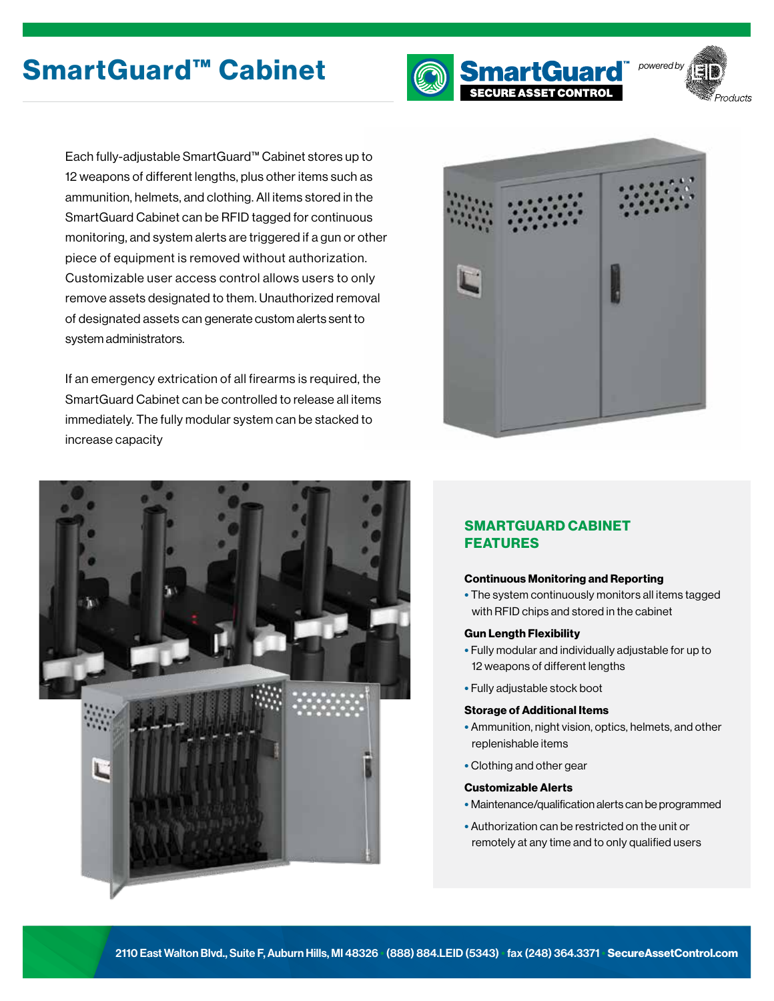# SmartGuard™ Cabinet **name and SmartGuard** Dowered by





Each fully-adjustable SmartGuard™ Cabinet stores up to 12 weapons of different lengths, plus other items such as ammunition, helmets, and clothing. All items stored in the SmartGuard Cabinet can be RFID tagged for continuous monitoring, and system alerts are triggered if a gun or other piece of equipment is removed without authorization. Customizable user access control allows users to only remove assets designated to them. Unauthorized removal of designated assets can generate custom alerts sent to system administrators.

If an emergency extrication of all firearms is required, the SmartGuard Cabinet can be controlled to release all items immediately. The fully modular system can be stacked to increase capacity





## SMARTGUARD CABINET FEATURES

#### Continuous Monitoring and Reporting

• The system continuously monitors all items tagged with RFID chips and stored in the cabinet

#### Gun Length Flexibility

- Fully modular and individually adjustable for up to 12 weapons of different lengths
- Fully adjustable stock boot

#### Storage of Additional Items

- Ammunition, night vision, optics, helmets, and other replenishable items
- Clothing and other gear

#### Customizable Alerts

- Maintenance/qualification alerts can be programmed
- Authorization can be restricted on the unit or remotely at any time and to only qualified users